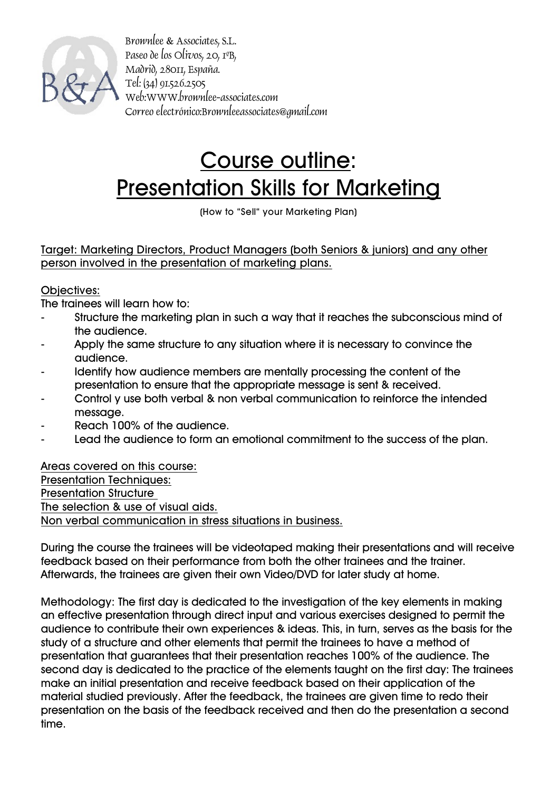

Brownlee & Associates, S.L. Paseo de los Olivos, 20, 1ºB, Madrid, 28011, España. Tel: (34) 91.526.2505 Web:WWW.brownlee-associates.com Correo electrónico:Brownleeassociates@gmail.com

## Course outline: Presentation Skills for Marketing

(How to "Sell" your Marketing Plan)

Target: Marketing Directors, Product Managers (both Seniors & juniors) and any other person involved in the presentation of marketing plans.

## Objectives:

The trainees will learn how to:

- Structure the marketing plan in such a way that it reaches the subconscious mind of the audience.
- Apply the same structure to any situation where it is necessary to convince the audience.
- Identify how audience members are mentally processing the content of the presentation to ensure that the appropriate message is sent & received.
- Control y use both verbal & non verbal communication to reinforce the intended message.
- Reach 100% of the audience.
- Lead the audience to form an emotional commitment to the success of the plan.

Areas covered on this course: Presentation Techniques: Presentation Structure The selection & use of visual aids. Non verbal communication in stress situations in business.

During the course the trainees will be videotaped making their presentations and will receive feedback based on their performance from both the other trainees and the trainer. Afterwards, the trainees are given their own Video/DVD for later study at home.

Methodology: The first day is dedicated to the investigation of the key elements in making an effective presentation through direct input and various exercises designed to permit the audience to contribute their own experiences & ideas. This, in turn, serves as the basis for the study of a structure and other elements that permit the trainees to have a method of presentation that guarantees that their presentation reaches 100% of the audience. The second day is dedicated to the practice of the elements taught on the first day: The trainees make an initial presentation and receive feedback based on their application of the material studied previously. After the feedback, the trainees are given time to redo their presentation on the basis of the feedback received and then do the presentation a second time.